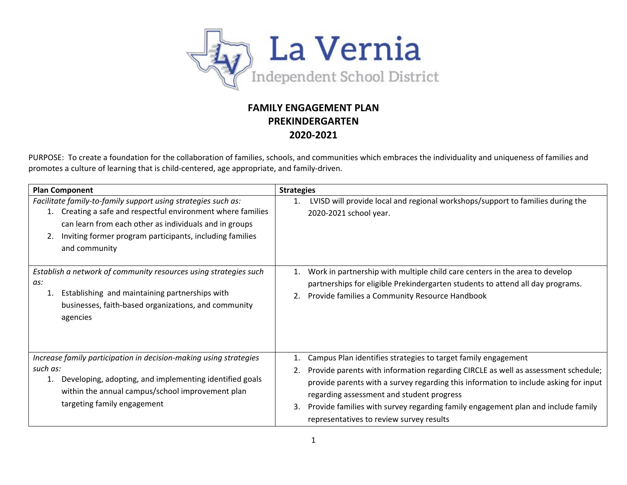

## **FAMILY ENGAGEMENT PLAN PREKINDERGARTEN 2020-2021**

PURPOSE: To create a foundation for the collaboration of families, schools, and communities which embraces the individuality and uniqueness of families and promotes a culture of learning that is child-centered, age appropriate, and family-driven.

| <b>Plan Component</b>                                                                                                                                                                                                                                             | <b>Strategies</b>                                                                                                                                                                                                                                                                                                                                                                                                                         |  |
|-------------------------------------------------------------------------------------------------------------------------------------------------------------------------------------------------------------------------------------------------------------------|-------------------------------------------------------------------------------------------------------------------------------------------------------------------------------------------------------------------------------------------------------------------------------------------------------------------------------------------------------------------------------------------------------------------------------------------|--|
| Facilitate family-to-family support using strategies such as:<br>Creating a safe and respectful environment where families<br>can learn from each other as individuals and in groups<br>Inviting former program participants, including families<br>and community | LVISD will provide local and regional workshops/support to families during the<br>1.<br>2020-2021 school year.                                                                                                                                                                                                                                                                                                                            |  |
| Establish a network of community resources using strategies such<br>as:<br>Establishing and maintaining partnerships with<br>businesses, faith-based organizations, and community<br>agencies                                                                     | Work in partnership with multiple child care centers in the area to develop<br>1.<br>partnerships for eligible Prekindergarten students to attend all day programs.<br>Provide families a Community Resource Handbook<br>2.                                                                                                                                                                                                               |  |
| Increase family participation in decision-making using strategies<br>such as:<br>Developing, adopting, and implementing identified goals<br>1.<br>within the annual campus/school improvement plan<br>targeting family engagement                                 | Campus Plan identifies strategies to target family engagement<br>1.<br>Provide parents with information regarding CIRCLE as well as assessment schedule;<br>2.<br>provide parents with a survey regarding this information to include asking for input<br>regarding assessment and student progress<br>Provide families with survey regarding family engagement plan and include family<br>3.<br>representatives to review survey results |  |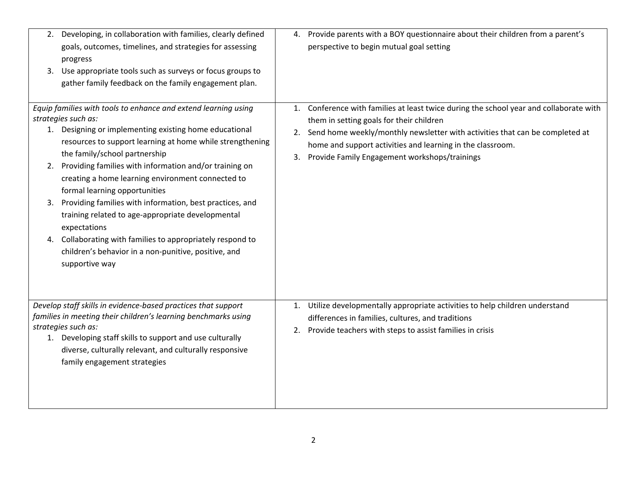|                | 2. Developing, in collaboration with families, clearly defined<br>goals, outcomes, timelines, and strategies for assessing<br>progress<br>3. Use appropriate tools such as surveys or focus groups to<br>gather family feedback on the family engagement plan.                                                                                                                                                                                                                                                                                                                                                                                                      | 4.             | Provide parents with a BOY questionnaire about their children from a parent's<br>perspective to begin mutual goal setting                                                                                                                                                                                                      |
|----------------|---------------------------------------------------------------------------------------------------------------------------------------------------------------------------------------------------------------------------------------------------------------------------------------------------------------------------------------------------------------------------------------------------------------------------------------------------------------------------------------------------------------------------------------------------------------------------------------------------------------------------------------------------------------------|----------------|--------------------------------------------------------------------------------------------------------------------------------------------------------------------------------------------------------------------------------------------------------------------------------------------------------------------------------|
| 2.<br>3.<br>4. | Equip families with tools to enhance and extend learning using<br>strategies such as:<br>1. Designing or implementing existing home educational<br>resources to support learning at home while strengthening<br>the family/school partnership<br>Providing families with information and/or training on<br>creating a home learning environment connected to<br>formal learning opportunities<br>Providing families with information, best practices, and<br>training related to age-appropriate developmental<br>expectations<br>Collaborating with families to appropriately respond to<br>children's behavior in a non-punitive, positive, and<br>supportive way | 1.<br>2.<br>3. | Conference with families at least twice during the school year and collaborate with<br>them in setting goals for their children<br>Send home weekly/monthly newsletter with activities that can be completed at<br>home and support activities and learning in the classroom.<br>Provide Family Engagement workshops/trainings |
|                | Develop staff skills in evidence-based practices that support<br>families in meeting their children's learning benchmarks using<br>strategies such as:<br>1. Developing staff skills to support and use culturally<br>diverse, culturally relevant, and culturally responsive<br>family engagement strategies                                                                                                                                                                                                                                                                                                                                                       | 1.             | Utilize developmentally appropriate activities to help children understand<br>differences in families, cultures, and traditions<br>2. Provide teachers with steps to assist families in crisis                                                                                                                                 |